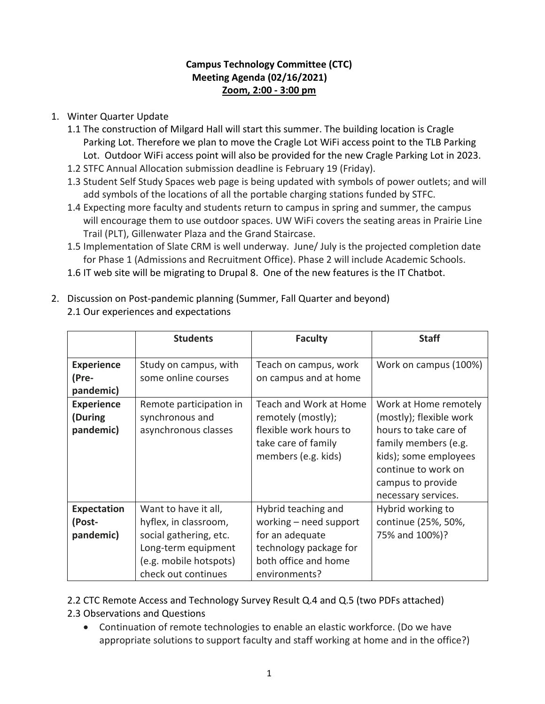## **Campus Technology Committee (CTC) Meeting Agenda (02/16/2021) Zoom, 2:00 - 3:00 pm**

## 1. Winter Quarter Update

- 1.1 The construction of Milgard Hall will start this summer. The building location is Cragle Parking Lot. Therefore we plan to move the Cragle Lot WiFi access point to the TLB Parking Lot. Outdoor WiFi access point will also be provided for the new Cragle Parking Lot in 2023.
- 1.2 STFC Annual Allocation submission deadline is February 19 (Friday).
- 1.3 Student Self Study Spaces web page is being updated with symbols of power outlets; and will add symbols of the locations of all the portable charging stations funded by STFC.
- 1.4 Expecting more faculty and students return to campus in spring and summer, the campus will encourage them to use outdoor spaces. UW WiFi covers the seating areas in Prairie Line Trail (PLT), Gillenwater Plaza and the Grand Staircase.
- 1.5 Implementation of Slate CRM is well underway. June/ July is the projected completion date for Phase 1 (Admissions and Recruitment Office). Phase 2 will include Academic Schools.
- 1.6 IT web site will be migrating to Drupal 8. One of the new features is the IT Chatbot.

|                                           | <b>Students</b>                                                                                                                                 | <b>Faculty</b>                                                                                                                      | <b>Staff</b>                                                                                                                                                                                  |
|-------------------------------------------|-------------------------------------------------------------------------------------------------------------------------------------------------|-------------------------------------------------------------------------------------------------------------------------------------|-----------------------------------------------------------------------------------------------------------------------------------------------------------------------------------------------|
| <b>Experience</b><br>(Pre-<br>pandemic)   | Study on campus, with<br>some online courses                                                                                                    | Teach on campus, work<br>on campus and at home                                                                                      | Work on campus (100%)                                                                                                                                                                         |
| <b>Experience</b><br>(During<br>pandemic) | Remote participation in<br>synchronous and<br>asynchronous classes                                                                              | Teach and Work at Home<br>remotely (mostly);<br>flexible work hours to<br>take care of family<br>members (e.g. kids)                | Work at Home remotely<br>(mostly); flexible work<br>hours to take care of<br>family members (e.g.<br>kids); some employees<br>continue to work on<br>campus to provide<br>necessary services. |
| <b>Expectation</b><br>(Post-<br>pandemic) | Want to have it all,<br>hyflex, in classroom,<br>social gathering, etc.<br>Long-term equipment<br>(e.g. mobile hotspots)<br>check out continues | Hybrid teaching and<br>working - need support<br>for an adequate<br>technology package for<br>both office and home<br>environments? | Hybrid working to<br>continue (25%, 50%,<br>75% and 100%)?                                                                                                                                    |

2. Discussion on Post-pandemic planning (Summer, Fall Quarter and beyond) 2.1 Our experiences and expectations

2.2 CTC Remote Access and Technology Survey Result Q.4 and Q.5 (two PDFs attached) 2.3 Observations and Questions

 Continuation of remote technologies to enable an elastic workforce. (Do we have appropriate solutions to support faculty and staff working at home and in the office?)